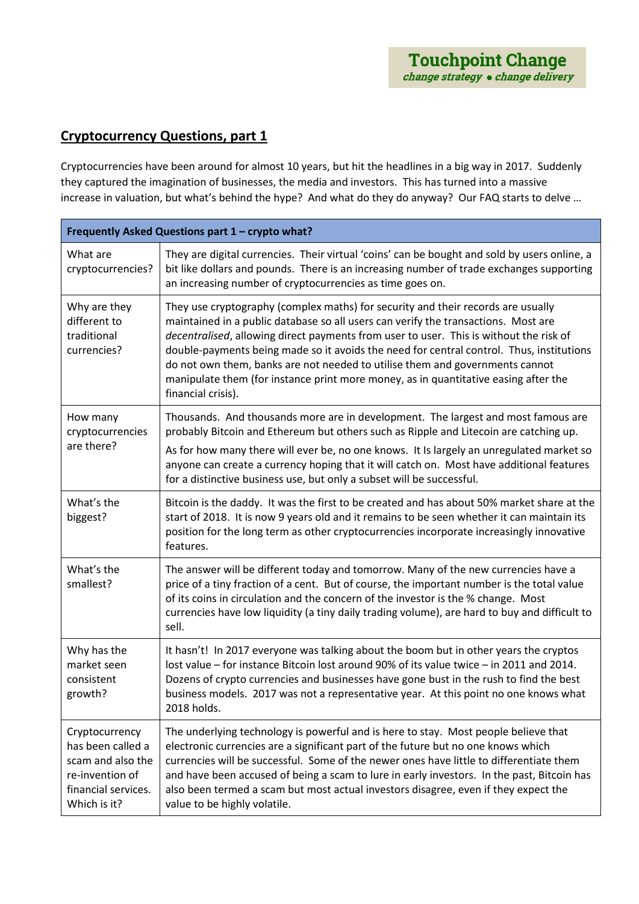## **Cryptocurrency Questions, part 1**

Cryptocurrencies have been around for almost 10 years, but hit the headlines in a big way in 2017. Suddenly they captured the imagination of businesses, the media and investors. This has turned into a massive increase in valuation, but what's behind the hype? And what do they do anyway? Our FAQ starts to delve …

| Frequently Asked Questions part 1 - crypto what?                                                                   |                                                                                                                                                                                                                                                                                                                                                                                                                                                                                                                                                           |  |
|--------------------------------------------------------------------------------------------------------------------|-----------------------------------------------------------------------------------------------------------------------------------------------------------------------------------------------------------------------------------------------------------------------------------------------------------------------------------------------------------------------------------------------------------------------------------------------------------------------------------------------------------------------------------------------------------|--|
| What are<br>cryptocurrencies?                                                                                      | They are digital currencies. Their virtual 'coins' can be bought and sold by users online, a<br>bit like dollars and pounds. There is an increasing number of trade exchanges supporting<br>an increasing number of cryptocurrencies as time goes on.                                                                                                                                                                                                                                                                                                     |  |
| Why are they<br>different to<br>traditional<br>currencies?                                                         | They use cryptography (complex maths) for security and their records are usually<br>maintained in a public database so all users can verify the transactions. Most are<br>decentralised, allowing direct payments from user to user. This is without the risk of<br>double-payments being made so it avoids the need for central control. Thus, institutions<br>do not own them, banks are not needed to utilise them and governments cannot<br>manipulate them (for instance print more money, as in quantitative easing after the<br>financial crisis). |  |
| How many<br>cryptocurrencies<br>are there?                                                                         | Thousands. And thousands more are in development. The largest and most famous are<br>probably Bitcoin and Ethereum but others such as Ripple and Litecoin are catching up.<br>As for how many there will ever be, no one knows. It Is largely an unregulated market so<br>anyone can create a currency hoping that it will catch on. Most have additional features<br>for a distinctive business use, but only a subset will be successful.                                                                                                               |  |
| What's the<br>biggest?                                                                                             | Bitcoin is the daddy. It was the first to be created and has about 50% market share at the<br>start of 2018. It is now 9 years old and it remains to be seen whether it can maintain its<br>position for the long term as other cryptocurrencies incorporate increasingly innovative<br>features.                                                                                                                                                                                                                                                         |  |
| What's the<br>smallest?                                                                                            | The answer will be different today and tomorrow. Many of the new currencies have a<br>price of a tiny fraction of a cent. But of course, the important number is the total value<br>of its coins in circulation and the concern of the investor is the % change. Most<br>currencies have low liquidity (a tiny daily trading volume), are hard to buy and difficult to<br>sell.                                                                                                                                                                           |  |
| Why has the<br>market seen<br>consistent<br>growth?                                                                | It hasn't! In 2017 everyone was talking about the boom but in other years the cryptos<br>lost value - for instance Bitcoin lost around 90% of its value twice - in 2011 and 2014.<br>Dozens of crypto currencies and businesses have gone bust in the rush to find the best<br>business models. 2017 was not a representative year. At this point no one knows what<br>2018 holds.                                                                                                                                                                        |  |
| Cryptocurrency<br>has been called a<br>scam and also the<br>re-invention of<br>financial services.<br>Which is it? | The underlying technology is powerful and is here to stay. Most people believe that<br>electronic currencies are a significant part of the future but no one knows which<br>currencies will be successful. Some of the newer ones have little to differentiate them<br>and have been accused of being a scam to lure in early investors. In the past, Bitcoin has<br>also been termed a scam but most actual investors disagree, even if they expect the<br>value to be highly volatile.                                                                  |  |